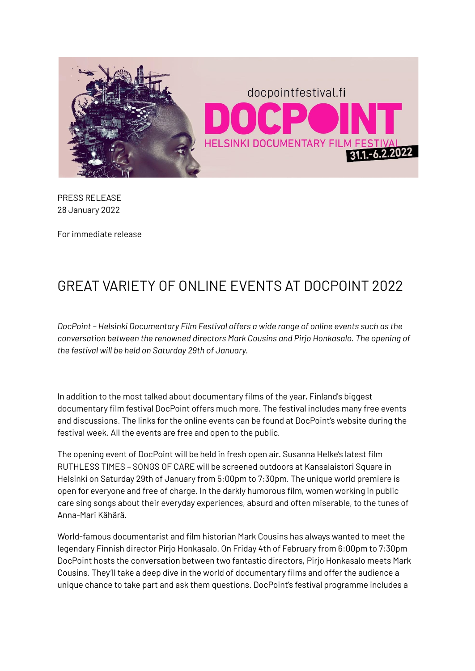

PRESS RELEASE 28 January 2022

For immediate release

# GREAT VARIETY OF ONLINE EVENTS AT DOCPOINT 2022

*DocPoint – Helsinki Documentary Film Festival offers a wide range of online events such as the conversation between the renowned directors Mark Cousins and Pirjo Honkasalo. The opening of the festival will be held on Saturday 29th of January.*

In addition to the most talked about documentary films of the year, Finland's biggest documentary film festival DocPoint offers much more. The festival includes many free events and discussions. The links for the online events can be found at DocPoint's website during the festival week. All the events are free and open to the public.

The opening event of DocPoint will be held in fresh open air. Susanna Helke's latest film RUTHLESS TIMES – SONGS OF CARE will be screened outdoors at Kansalaistori Square in Helsinki on Saturday 29th of January from 5:00pm to 7:30pm. The unique world premiere is open for everyone and free of charge. In the darkly humorous film, women working in public care sing songs about their everyday experiences, absurd and often miserable, to the tunes of Anna-Mari Kähärä.

World-famous documentarist and film historian Mark Cousins has always wanted to meet the legendary Finnish director Pirjo Honkasalo. On Friday 4th of February from 6:00pm to 7:30pm DocPoint hosts the conversation between two fantastic directors, Pirjo Honkasalo meets Mark Cousins. They'll take a deep dive in the world of documentary films and offer the audience a unique chance to take part and ask them questions. DocPoint's festival programme includes a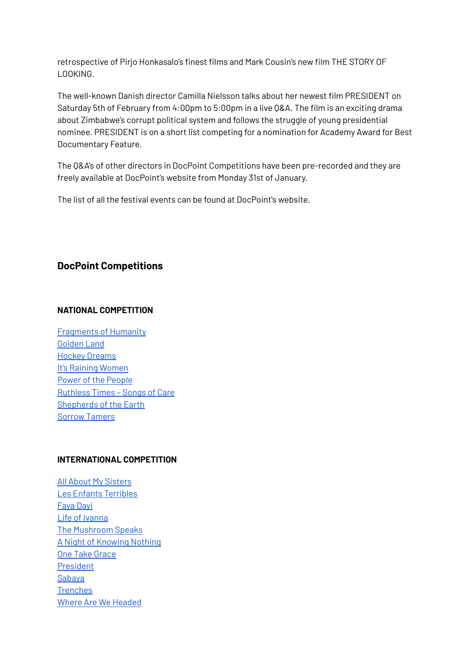retrospective of Pirjo Honkasalo's finest films and Mark Cousin's new film THE STORY OF LOOKING.

The well-known Danish director Camilla Nielsson talks about her newest film PRESIDENT on Saturday 5th of February from 4:00pm to 5:00pm in a live Q&A. The film is an exciting drama about Zimbabwe's corrupt political system and follows the struggle of young presidential nominee. PRESIDENT is on a short list competing for a nomination for Academy Award for Best Documentary Feature.

The Q&A's of other directors in DocPoint Competitions have been pre-recorded and they are freely available at DocPoint's website from Monday 31st of January.

The list of all the festival events can be found at DocPoint's website.

## **DocPoint Competitions**

#### **NATIONAL COMPETITION**

[Fragments](https://docpointfestival.fi/en/event-en/fragments-of-humanity/) of Humanity [Golden](https://docpointfestival.fi/en/event-en/golden-land/) Land Hockey [Dreams](https://docpointfestival.fi/en/event-en/hockey-dreams/) It's Raining [Women](https://docpointfestival.fi/en/event-en/its-raining-women/) Power of the [People](https://docpointfestival.fi/en/event-en/power-of-the-people/) [Ruthless](https://docpointfestival.fi/en/event-en/ruthless-times-songs-of-care/) Times – Songs of Care [Shepherds](https://docpointfestival.fi/en/event-en/shepherds-of-the-earth/) of the Earth Sorrow [Tamers](https://docpointfestival.fi/en/event-en/sorrow-tamers/)

### **INTERNATIONAL COMPETITION**

All About My [Sisters](https://docpointfestival.fi/en/event-en/all-about-my-sisters/) Les Enfants [Terribles](https://docpointfestival.fi/en/event-en/les-enfants-terribles/) [Faya](https://docpointfestival.fi/en/event-en/faya-dayi/) Dayi Life of [Ivanna](https://docpointfestival.fi/en/event-en/life-of-ivanna/) The [Mushroom](https://docpointfestival.fi/en/event-en/the-mushroom-speaks/) Speaks A Night of [Knowing](https://docpointfestival.fi/en/event-en/a-night-of-knowing-nothing/) Nothing One Take [Grace](https://docpointfestival.fi/en/event-en/one-take-grace/) [President](https://docpointfestival.fi/en/event-en/president/) [Sabaya](https://docpointfestival.fi/en/event-en/sabaya/) **[Trenches](https://docpointfestival.fi/en/event-en/trenches/)** Where Are We [Headed](https://docpointfestival.fi/en/event-en/where-are-we-headed/)